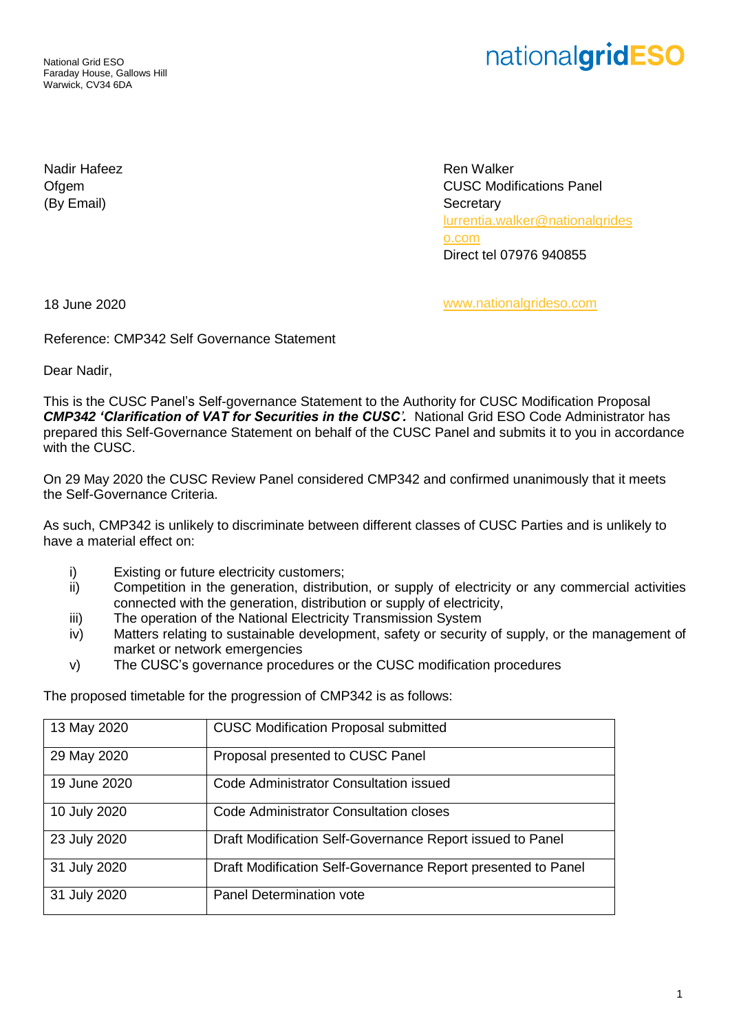National Grid ESO Faraday House, Gallows Hill Warwick, CV34 6DA

## nationalgridESO

Nadir Hafeez Ofgem (By Email)

Ren Walker CUSC Modifications Panel **Secretary** [lurrentia.walker@nationalgrides](mailto:lurrentia.walker@nationalgrideso.com) [o.com](mailto:lurrentia.walker@nationalgrideso.com) Direct tel 07976 940855

18 June 2020 [www.nationalgrideso.com](http://www.nationalgrideso.com/)

Reference: CMP342 Self Governance Statement

Dear Nadir,

This is the CUSC Panel's Self-governance Statement to the Authority for CUSC Modification Proposal *CMP342 'Clarification of VAT for Securities in the CUSC'.* National Grid ESO Code Administrator has prepared this Self-Governance Statement on behalf of the CUSC Panel and submits it to you in accordance with the CUSC.

On 29 May 2020 the CUSC Review Panel considered CMP342 and confirmed unanimously that it meets the Self-Governance Criteria.

As such, CMP342 is unlikely to discriminate between different classes of CUSC Parties and is unlikely to have a material effect on:

- i) Existing or future electricity customers;
- ii) Competition in the generation, distribution, or supply of electricity or any commercial activities connected with the generation, distribution or supply of electricity,
- iii) The operation of the National Electricity Transmission System
- iv) Matters relating to sustainable development, safety or security of supply, or the management of market or network emergencies
- v) The CUSC's governance procedures or the CUSC modification procedures

The proposed timetable for the progression of CMP342 is as follows:

| 13 May 2020  | <b>CUSC Modification Proposal submitted</b>                  |
|--------------|--------------------------------------------------------------|
| 29 May 2020  | Proposal presented to CUSC Panel                             |
| 19 June 2020 | Code Administrator Consultation issued                       |
| 10 July 2020 | <b>Code Administrator Consultation closes</b>                |
| 23 July 2020 | Draft Modification Self-Governance Report issued to Panel    |
| 31 July 2020 | Draft Modification Self-Governance Report presented to Panel |
| 31 July 2020 | <b>Panel Determination vote</b>                              |